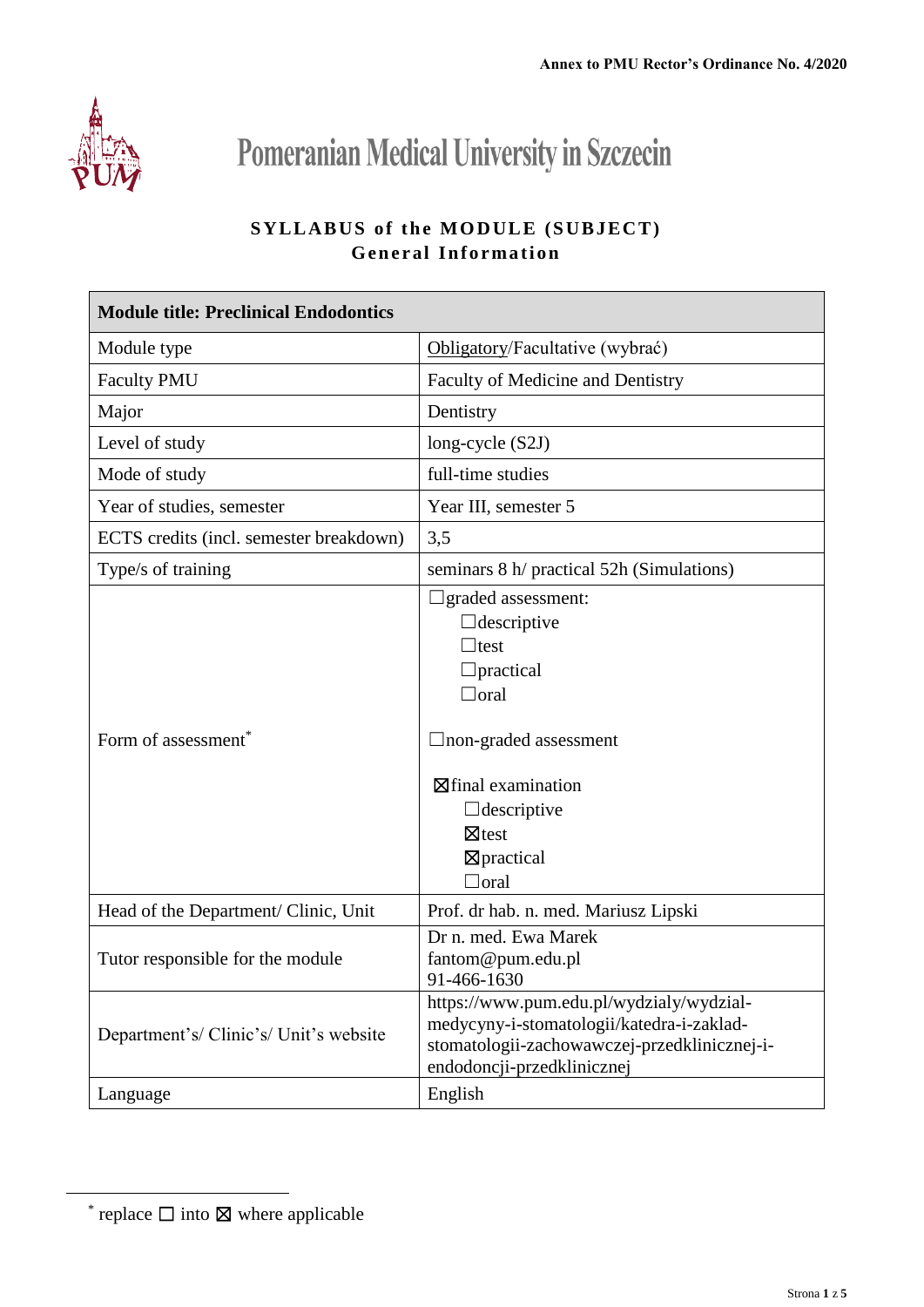

**Pomeranian Medical University in Szczecin** 

## **SYLLABUS of the MODULE (SUBJECT) General Information**

| <b>Module title: Preclinical Endodontics</b> |                                                                                                                                                                                                                                           |  |
|----------------------------------------------|-------------------------------------------------------------------------------------------------------------------------------------------------------------------------------------------------------------------------------------------|--|
| Module type                                  | Obligatory/Facultative (wybrać)                                                                                                                                                                                                           |  |
| <b>Faculty PMU</b>                           | Faculty of Medicine and Dentistry                                                                                                                                                                                                         |  |
| Major                                        | Dentistry                                                                                                                                                                                                                                 |  |
| Level of study                               | long-cycle $(S2J)$                                                                                                                                                                                                                        |  |
| Mode of study                                | full-time studies                                                                                                                                                                                                                         |  |
| Year of studies, semester                    | Year III, semester 5                                                                                                                                                                                                                      |  |
| ECTS credits (incl. semester breakdown)      | 3,5                                                                                                                                                                                                                                       |  |
| Type/s of training                           | seminars 8 h/ practical 52h (Simulations)                                                                                                                                                                                                 |  |
| Form of assessment <sup>*</sup>              | $\Box$ graded assessment:<br>$\Box$ descriptive<br>$\Box$ test<br>$\Box$ practical<br>$\Box$ oral<br>$\Box$ non-graded assessment<br>$\boxtimes$ final examination<br>$\Box$ descriptive<br>$\boxtimes$ test<br>⊠practical<br>$\Box$ oral |  |
| Head of the Department/ Clinic, Unit         | Prof. dr hab. n. med. Mariusz Lipski                                                                                                                                                                                                      |  |
| Tutor responsible for the module             | Dr n. med. Ewa Marek<br>fantom@pum.edu.pl<br>91-466-1630                                                                                                                                                                                  |  |
| Department's/Clinic's/Unit's website         | https://www.pum.edu.pl/wydzialy/wydzial-<br>medycyny-i-stomatologii/katedra-i-zaklad-<br>stomatologii-zachowawczej-przedklinicznej-i-<br>endodoncji-przedklinicznej                                                                       |  |
| Language                                     | English                                                                                                                                                                                                                                   |  |

 $\overline{a}$ 

<sup>\*</sup> replace  $\Box$  into  $\boxtimes$  where applicable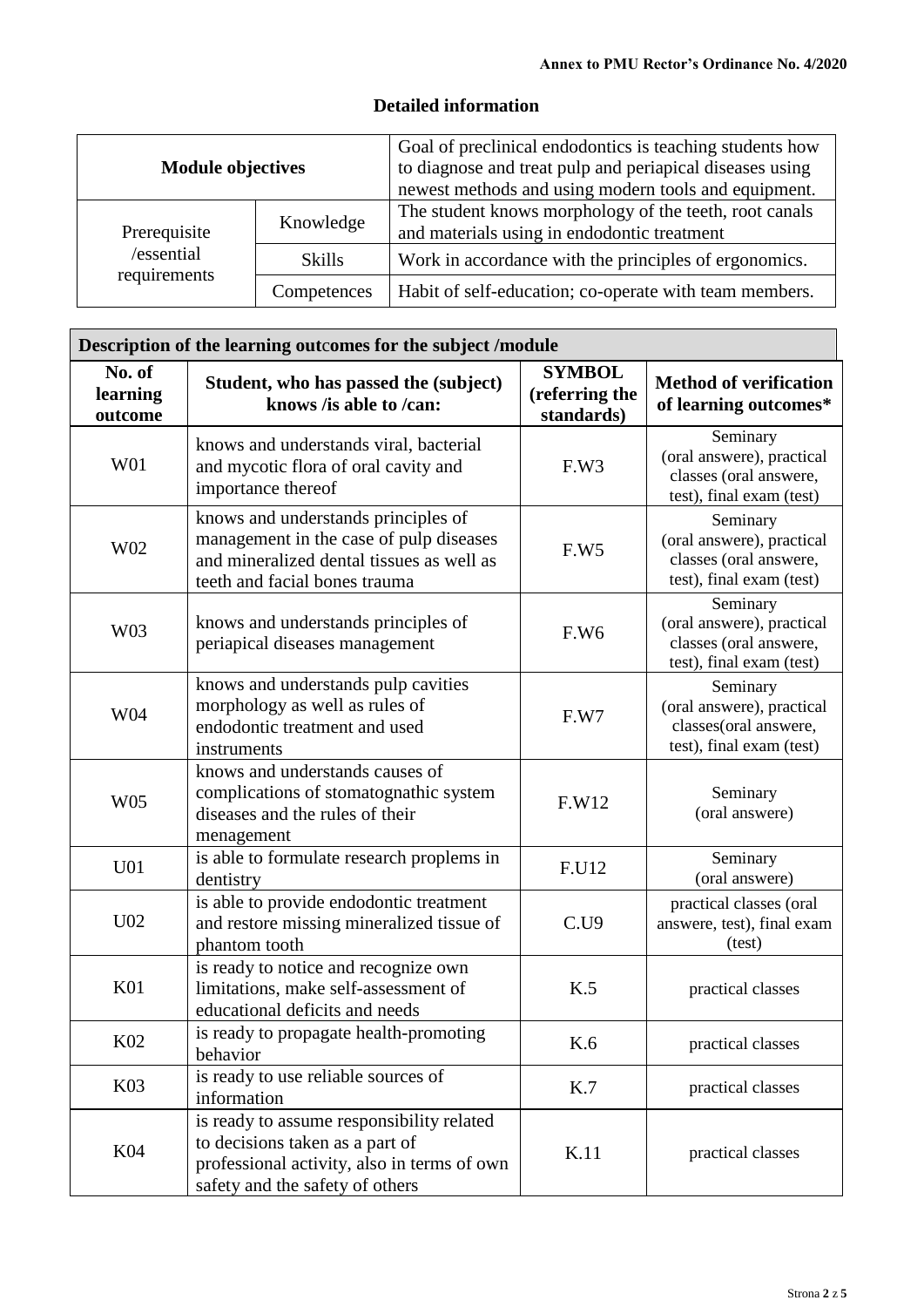|  | <b>Detailed information</b> |
|--|-----------------------------|
|--|-----------------------------|

| <b>Module objectives</b>   |               | Goal of preclinical endodontics is teaching students how<br>to diagnose and treat pulp and periapical diseases using<br>newest methods and using modern tools and equipment. |
|----------------------------|---------------|------------------------------------------------------------------------------------------------------------------------------------------------------------------------------|
| Prerequisite               | Knowledge     | The student knows morphology of the teeth, root canals<br>and materials using in endodontic treatment                                                                        |
| /essential<br>requirements | <b>Skills</b> | Work in accordance with the principles of ergonomics.                                                                                                                        |
|                            | Competences   | Habit of self-education; co-operate with team members.                                                                                                                       |

| Description of the learning outcomes for the subject /module |                                                                                                                                                                |                                               |                                                                                             |  |
|--------------------------------------------------------------|----------------------------------------------------------------------------------------------------------------------------------------------------------------|-----------------------------------------------|---------------------------------------------------------------------------------------------|--|
| No. of<br>learning<br>outcome                                | Student, who has passed the (subject)<br>knows /is able to /can:                                                                                               | <b>SYMBOL</b><br>(referring the<br>standards) | <b>Method of verification</b><br>of learning outcomes*                                      |  |
| W01                                                          | knows and understands viral, bacterial<br>and mycotic flora of oral cavity and<br>importance thereof                                                           | F.W3                                          | Seminary<br>(oral answere), practical<br>classes (oral answere,<br>test), final exam (test) |  |
| W02                                                          | knows and understands principles of<br>management in the case of pulp diseases<br>and mineralized dental tissues as well as<br>teeth and facial bones trauma   | F.W <sub>5</sub>                              | Seminary<br>(oral answere), practical<br>classes (oral answere,<br>test), final exam (test) |  |
| W03                                                          | knows and understands principles of<br>periapical diseases management                                                                                          | F.W <sub>6</sub>                              | Seminary<br>(oral answere), practical<br>classes (oral answere,<br>test), final exam (test) |  |
| W04                                                          | knows and understands pulp cavities<br>morphology as well as rules of<br>endodontic treatment and used<br>instruments                                          | F.W7                                          | Seminary<br>(oral answere), practical<br>classes(oral answere,<br>test), final exam (test)  |  |
| W05                                                          | knows and understands causes of<br>complications of stomatognathic system<br>diseases and the rules of their<br>menagement                                     | F.W12                                         | Seminary<br>(oral answere)                                                                  |  |
| U <sub>01</sub>                                              | is able to formulate research proplems in<br>dentistry                                                                                                         | F.U12                                         | Seminary<br>(oral answere)                                                                  |  |
| U <sub>02</sub>                                              | is able to provide endodontic treatment<br>and restore missing mineralized tissue of<br>phantom tooth                                                          | C.U9                                          | practical classes (oral<br>answere, test), final exam<br>(test)                             |  |
| K <sub>01</sub>                                              | is ready to notice and recognize own<br>limitations, make self-assessment of<br>educational deficits and needs                                                 | K.5                                           | practical classes                                                                           |  |
| K <sub>02</sub>                                              | is ready to propagate health-promoting<br>behavior                                                                                                             | K.6                                           | practical classes                                                                           |  |
| K03                                                          | is ready to use reliable sources of<br>information                                                                                                             | K.7                                           | practical classes                                                                           |  |
| K04                                                          | is ready to assume responsibility related<br>to decisions taken as a part of<br>professional activity, also in terms of own<br>safety and the safety of others | K.11                                          | practical classes                                                                           |  |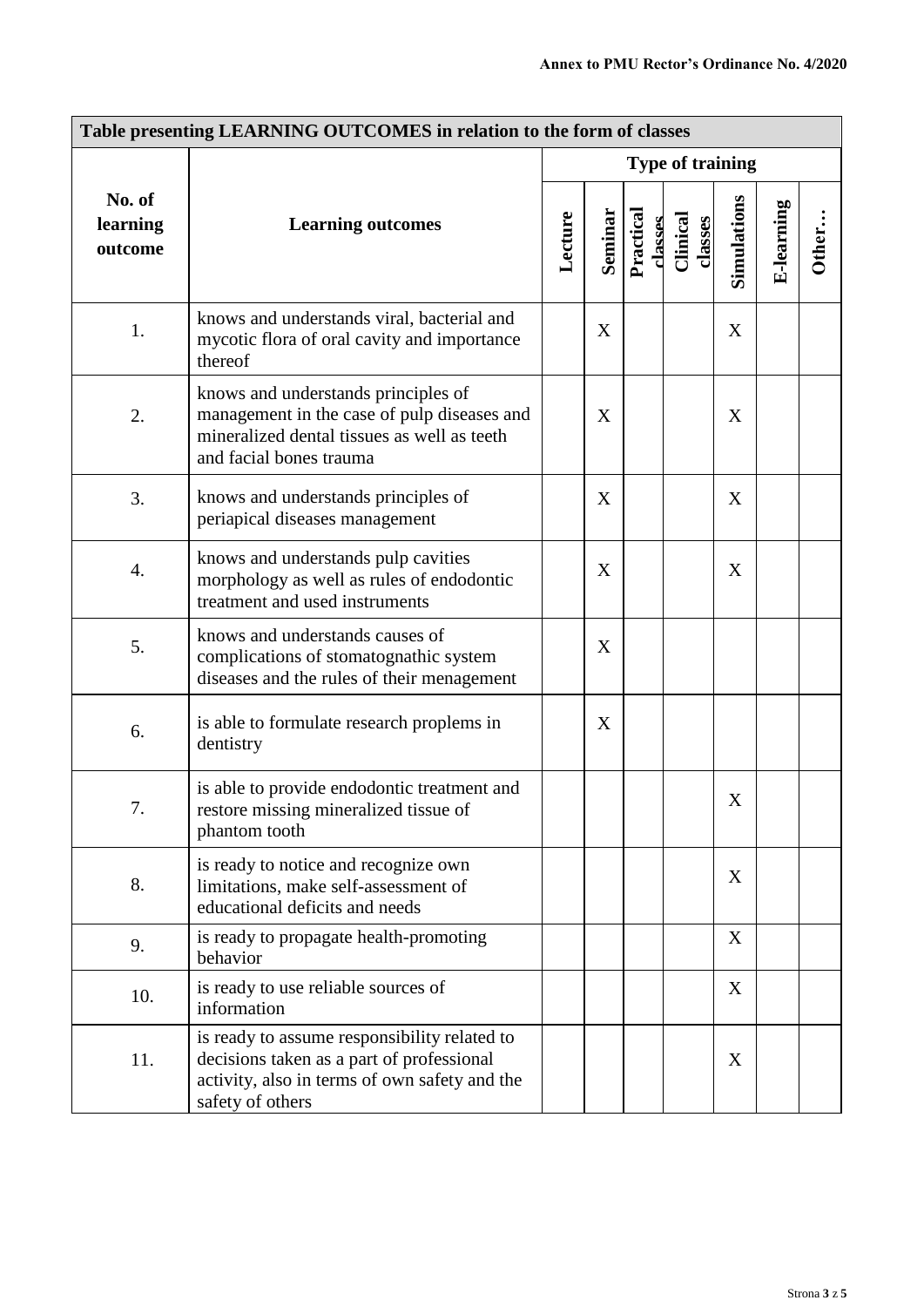| Table presenting LEARNING OUTCOMES in relation to the form of classes |                                                                                                                                                                |                         |         |                      |                     |             |            |       |
|-----------------------------------------------------------------------|----------------------------------------------------------------------------------------------------------------------------------------------------------------|-------------------------|---------|----------------------|---------------------|-------------|------------|-------|
|                                                                       |                                                                                                                                                                | <b>Type of training</b> |         |                      |                     |             |            |       |
| No. of<br>learning<br>outcome                                         | <b>Learning outcomes</b>                                                                                                                                       | Lecture                 | Seminar | Practical<br>classes | Clinical<br>classes | Simulations | E-learning | Other |
| 1.                                                                    | knows and understands viral, bacterial and<br>mycotic flora of oral cavity and importance<br>thereof                                                           |                         | X       |                      |                     | X           |            |       |
| 2.                                                                    | knows and understands principles of<br>management in the case of pulp diseases and<br>mineralized dental tissues as well as teeth<br>and facial bones trauma   |                         | X       |                      |                     | X           |            |       |
| 3.                                                                    | knows and understands principles of<br>periapical diseases management                                                                                          |                         | X       |                      |                     | X           |            |       |
| 4.                                                                    | knows and understands pulp cavities<br>morphology as well as rules of endodontic<br>treatment and used instruments                                             |                         | X       |                      |                     | X           |            |       |
| 5.                                                                    | knows and understands causes of<br>complications of stomatognathic system<br>diseases and the rules of their menagement                                        |                         | X       |                      |                     |             |            |       |
| 6.                                                                    | is able to formulate research proplems in<br>dentistry                                                                                                         |                         | X       |                      |                     |             |            |       |
| 7.                                                                    | is able to provide endodontic treatment and<br>restore missing mineralized tissue of<br>phantom tooth                                                          |                         |         |                      |                     | X           |            |       |
| 8.                                                                    | is ready to notice and recognize own<br>limitations, make self-assessment of<br>educational deficits and needs                                                 |                         |         |                      |                     | X           |            |       |
| 9.                                                                    | is ready to propagate health-promoting<br>behavior                                                                                                             |                         |         |                      |                     | X           |            |       |
| 10.                                                                   | is ready to use reliable sources of<br>information                                                                                                             |                         |         |                      |                     | X           |            |       |
| 11.                                                                   | is ready to assume responsibility related to<br>decisions taken as a part of professional<br>activity, also in terms of own safety and the<br>safety of others |                         |         |                      |                     | X           |            |       |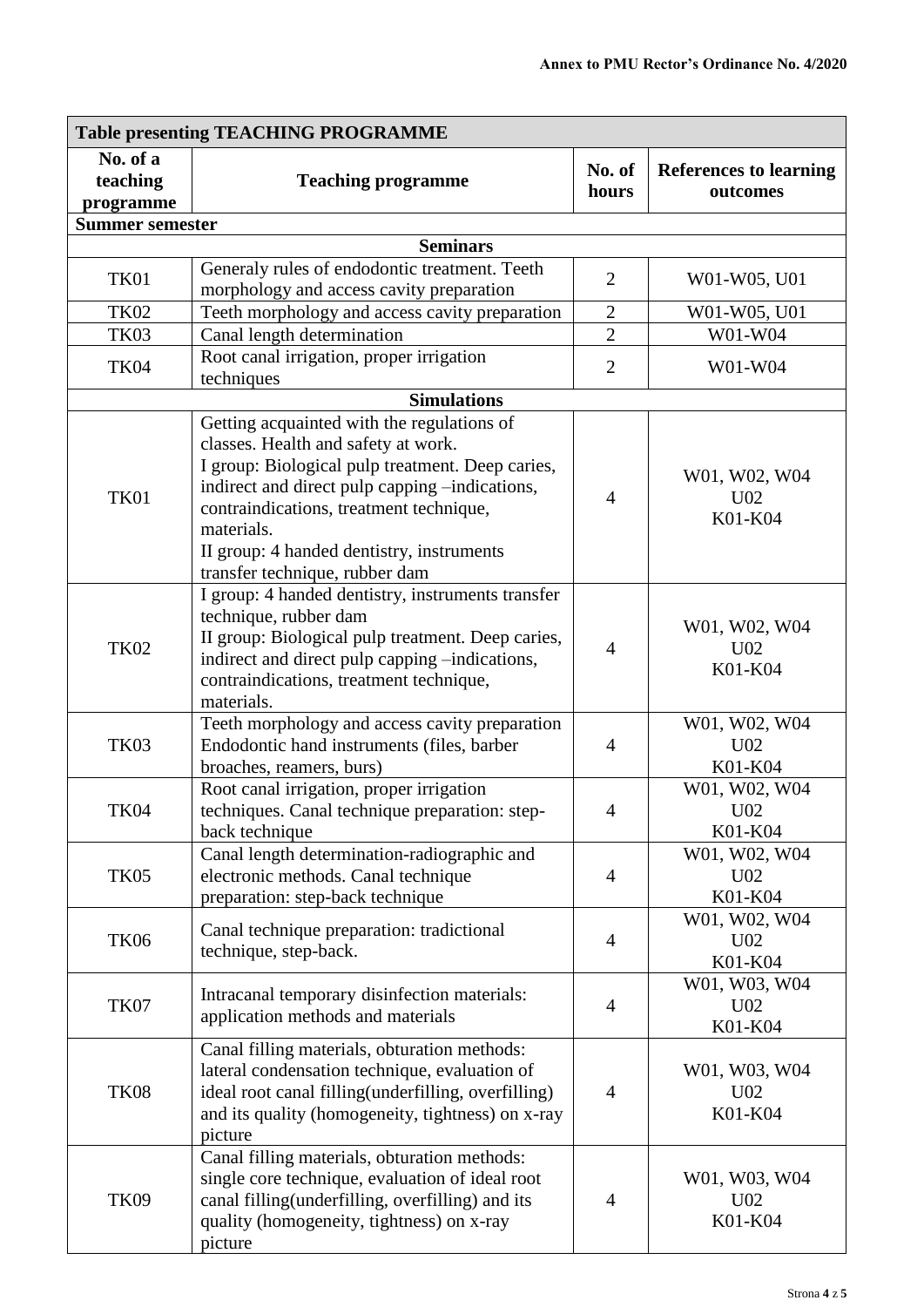| <b>Table presenting TEACHING PROGRAMME</b> |                                                                                                                                                                                                                                                                                                                                 |                 |                                             |  |  |
|--------------------------------------------|---------------------------------------------------------------------------------------------------------------------------------------------------------------------------------------------------------------------------------------------------------------------------------------------------------------------------------|-----------------|---------------------------------------------|--|--|
| No. of a<br>teaching<br>programme          | <b>Teaching programme</b>                                                                                                                                                                                                                                                                                                       | No. of<br>hours | <b>References to learning</b><br>outcomes   |  |  |
| <b>Summer semester</b>                     |                                                                                                                                                                                                                                                                                                                                 |                 |                                             |  |  |
|                                            | <b>Seminars</b>                                                                                                                                                                                                                                                                                                                 |                 |                                             |  |  |
| <b>TK01</b>                                | Generaly rules of endodontic treatment. Teeth<br>morphology and access cavity preparation                                                                                                                                                                                                                                       | $\overline{2}$  | W01-W05, U01                                |  |  |
| <b>TK02</b>                                | Teeth morphology and access cavity preparation                                                                                                                                                                                                                                                                                  | $\overline{2}$  | W01-W05, U01                                |  |  |
| <b>TK03</b>                                | Canal length determination                                                                                                                                                                                                                                                                                                      | $\overline{2}$  | W01-W04                                     |  |  |
| <b>TK04</b>                                | Root canal irrigation, proper irrigation<br>techniques                                                                                                                                                                                                                                                                          | $\overline{2}$  | W01-W04                                     |  |  |
|                                            | <b>Simulations</b>                                                                                                                                                                                                                                                                                                              |                 |                                             |  |  |
| TK01                                       | Getting acquainted with the regulations of<br>classes. Health and safety at work.<br>I group: Biological pulp treatment. Deep caries,<br>indirect and direct pulp capping -indications,<br>contraindications, treatment technique,<br>materials.<br>II group: 4 handed dentistry, instruments<br>transfer technique, rubber dam | $\overline{4}$  | W01, W02, W04<br>U02<br>K01-K04             |  |  |
| <b>TK02</b>                                | I group: 4 handed dentistry, instruments transfer<br>technique, rubber dam<br>II group: Biological pulp treatment. Deep caries,<br>indirect and direct pulp capping -indications,<br>contraindications, treatment technique,<br>materials.                                                                                      | $\overline{4}$  | W01, W02, W04<br>U02<br>K01-K04             |  |  |
| <b>TK03</b>                                | Teeth morphology and access cavity preparation<br>Endodontic hand instruments (files, barber<br>broaches, reamers, burs)                                                                                                                                                                                                        | $\overline{4}$  | W01, W02, W04<br>U <sub>02</sub><br>K01-K04 |  |  |
| <b>TK04</b>                                | Root canal irrigation, proper irrigation<br>techniques. Canal technique preparation: step-<br>back technique                                                                                                                                                                                                                    | 4               | W01, W02, W04<br>U <sub>02</sub><br>K01-K04 |  |  |
| <b>TK05</b>                                | Canal length determination-radiographic and<br>electronic methods. Canal technique<br>preparation: step-back technique                                                                                                                                                                                                          | 4               | W01, W02, W04<br>U <sub>02</sub><br>K01-K04 |  |  |
| <b>TK06</b>                                | Canal technique preparation: tradictional<br>technique, step-back.                                                                                                                                                                                                                                                              | $\overline{4}$  | W01, W02, W04<br>U <sub>02</sub><br>K01-K04 |  |  |
| <b>TK07</b>                                | Intracanal temporary disinfection materials:<br>application methods and materials                                                                                                                                                                                                                                               | 4               | W01, W03, W04<br>U <sub>02</sub><br>K01-K04 |  |  |
| <b>TK08</b>                                | Canal filling materials, obturation methods:<br>lateral condensation technique, evaluation of<br>ideal root canal filling(underfilling, overfilling)<br>and its quality (homogeneity, tightness) on x-ray<br>picture                                                                                                            | $\overline{4}$  | W01, W03, W04<br>U <sub>02</sub><br>K01-K04 |  |  |
| <b>TK09</b>                                | Canal filling materials, obturation methods:<br>single core technique, evaluation of ideal root<br>canal filling(underfilling, overfilling) and its<br>quality (homogeneity, tightness) on x-ray<br>picture                                                                                                                     | $\overline{4}$  | W01, W03, W04<br>U <sub>02</sub><br>K01-K04 |  |  |